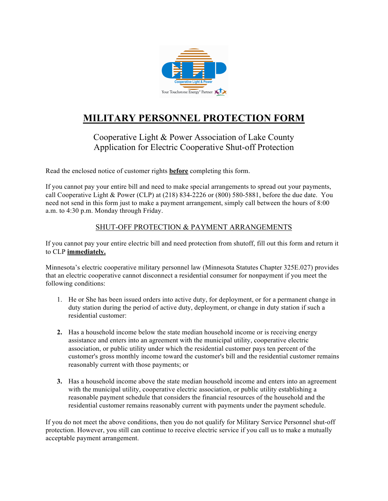

## **MILITARY PERSONNEL PROTECTION FORM**

## Cooperative Light & Power Association of Lake County Application for Electric Cooperative Shut-off Protection

Read the enclosed notice of customer rights **before** completing this form.

If you cannot pay your entire bill and need to make special arrangements to spread out your payments, call Cooperative Light & Power (CLP) at (218) 834-2226 or (800) 580-5881, before the due date. You need not send in this form just to make a payment arrangement, simply call between the hours of 8:00 a.m. to 4:30 p.m. Monday through Friday.

## SHUT-OFF PROTECTION & PAYMENT ARRANGEMENTS

If you cannot pay your entire electric bill and need protection from shutoff, fill out this form and return it to CLP **immediately.**

Minnesota's electric cooperative military personnel law (Minnesota Statutes Chapter 325E.027) provides that an electric cooperative cannot disconnect a residential consumer for nonpayment if you meet the following conditions:

- 1. He or She has been issued orders into active duty, for deployment, or for a permanent change in duty station during the period of active duty, deployment, or change in duty station if such a residential customer:
- **2.** Has a household income below the state median household income or is receiving energy assistance and enters into an agreement with the municipal utility, cooperative electric association, or public utility under which the residential customer pays ten percent of the customer's gross monthly income toward the customer's bill and the residential customer remains reasonably current with those payments; or
- **3.** Has a household income above the state median household income and enters into an agreement with the municipal utility, cooperative electric association, or public utility establishing a reasonable payment schedule that considers the financial resources of the household and the residential customer remains reasonably current with payments under the payment schedule.

If you do not meet the above conditions, then you do not qualify for Military Service Personnel shut-off protection. However, you still can continue to receive electric service if you call us to make a mutually acceptable payment arrangement.